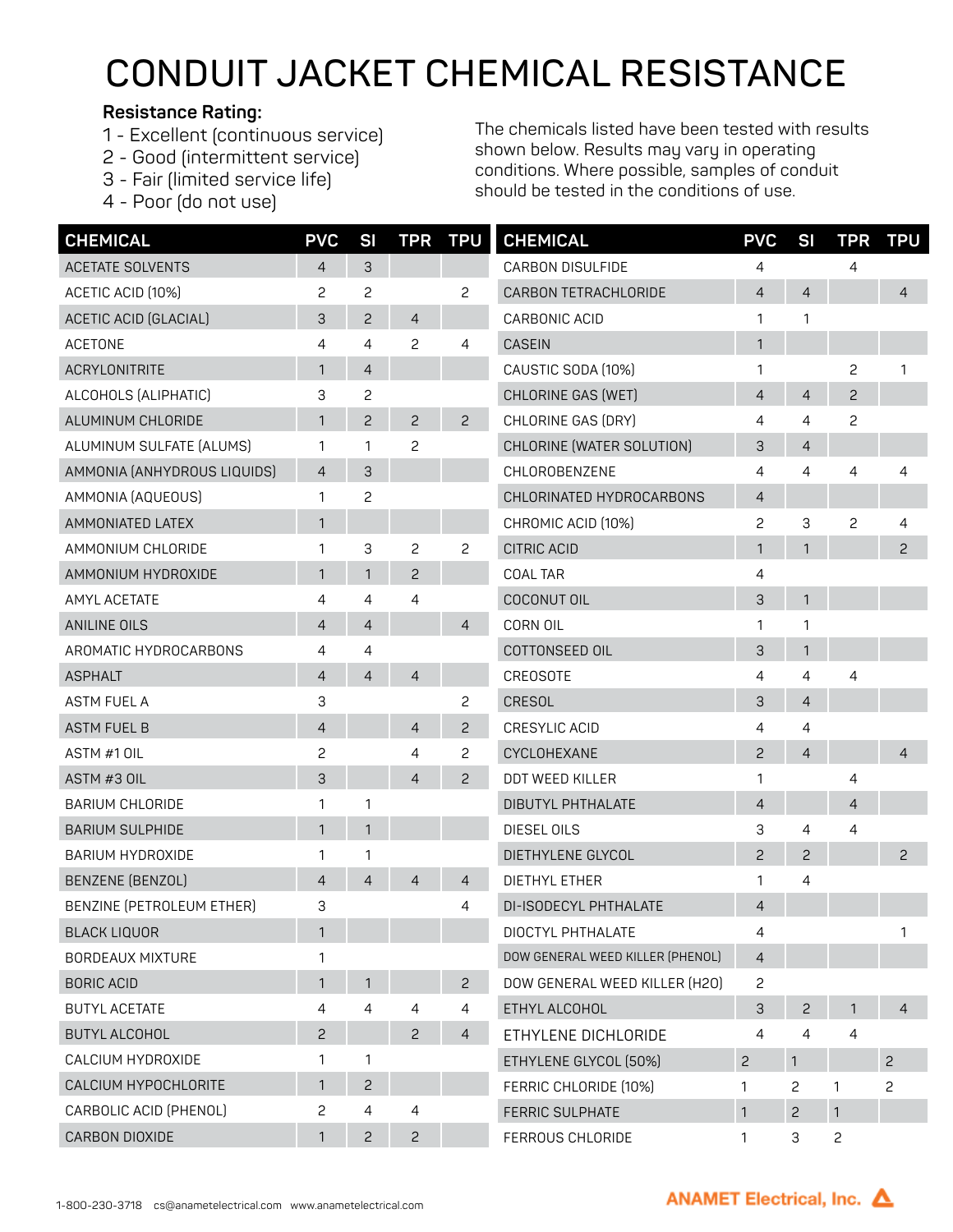## **CONDUIT JACKET CHEMICAL RESISTANCE**

## **Resistance Rating:**

- 1 Excellent (continuous service)
- 2 Good (intermittent service)
- 3 Fair (limited service life)
- 4 Poor (do not use)

The chemicals listed have been tested with results shown below. Results may vary in operating conditions. Where possible, samples of conduit should be tested in the conditions of use.

| <b>CHEMICAL</b>              | <b>PVC</b>     | <b>SI</b>      | <b>TPR</b>     | <b>TPU</b>     | <b>CHEMICAL</b>                  | <b>PVC</b>     | SI             | <b>TPR</b>     | <b>TPU</b>     |
|------------------------------|----------------|----------------|----------------|----------------|----------------------------------|----------------|----------------|----------------|----------------|
| <b>ACETATE SOLVENTS</b>      | 4              | 3              |                |                | <b>CARBON DISULFIDE</b>          | 4              |                | 4              |                |
| ACETIC ACID (10%)            | 2              | $\mathbf{c}$   |                | $\overline{c}$ | CARBON TETRACHLORIDE             | $\overline{4}$ | $\overline{4}$ |                | $\overline{4}$ |
| <b>ACETIC ACID (GLACIAL)</b> | 3              | $\overline{c}$ | $\overline{4}$ |                | CARBONIC ACID                    | 1              | 1              |                |                |
| <b>ACETONE</b>               | 4              | 4              | 2              | 4              | <b>CASEIN</b>                    | $\mathbf{1}$   |                |                |                |
| <b>ACRYLONITRITE</b>         | 1              | $\overline{4}$ |                |                | CAUSTIC SODA (10%)               | 1              |                | 2              |                |
| ALCOHOLS (ALIPHATIC)         | 3              | $\overline{c}$ |                |                | <b>CHLORINE GAS (WET)</b>        | 4              | $\overline{4}$ | 2              |                |
| ALUMINUM CHLORIDE            | 1              | 2              | $\overline{c}$ | $\overline{c}$ | CHLORINE GAS (DRY)               | 4              | 4              | 2              |                |
| ALUMINUM SULFATE (ALUMS)     | 1              | 1              | $\overline{c}$ |                | CHLORINE (WATER SOLUTION)        | З              | 4              |                |                |
| AMMONIA (ANHYDROUS LIQUIDS)  | $\overline{4}$ | 3              |                |                | CHLOROBENZENE                    | 4              | 4              | 4              |                |
| AMMONIA (AQUEOUS)            | 1              | $\overline{c}$ |                |                | CHLORINATED HYDROCARBONS         | $\overline{4}$ |                |                |                |
| AMMONIATED LATEX             | 1              |                |                |                | CHROMIC ACID (10%)               | 2              | 3              | 2              | 4              |
| AMMONIUM CHLORIDE            | 1              | 3              | 2              | 2              | <b>CITRIC ACID</b>               | $\mathbf{1}$   | 1              |                | $\mathbf{c}$   |
| AMMONIUM HYDROXIDE           | 1              | 1              | 2              |                | <b>COAL TAR</b>                  | 4              |                |                |                |
| AMYL ACETATE                 | 4              | 4              | 4              |                | COCONUT OIL                      | 3              | $\mathbf{1}$   |                |                |
| <b>ANILINE OILS</b>          | 4              | $\overline{4}$ |                | $\overline{4}$ | CORN OIL                         | 1              | 1              |                |                |
| AROMATIC HYDROCARBONS        | 4              | 4              |                |                | COTTONSEED OIL                   | 3              | 1              |                |                |
| <b>ASPHALT</b>               | $\overline{4}$ | $\overline{4}$ | $\overline{4}$ |                | CREOSOTE                         | 4              | 4              | 4              |                |
| <b>ASTM FUEL A</b>           | 3              |                |                | 2              | CRESOL                           | 3              | $\overline{4}$ |                |                |
| <b>ASTM FUEL B</b>           | $\overline{4}$ |                | $\overline{4}$ | $\overline{c}$ | CRESYLIC ACID                    | 4              | 4              |                |                |
| ASTM #1 OIL                  | $\overline{c}$ |                | 4              | 2              | CYCLOHEXANE                      | $\overline{c}$ | $\overline{4}$ |                | $\overline{4}$ |
| ASTM #3 OIL                  | 3              |                | $\overline{4}$ | $\overline{c}$ | DDT WEED KILLER                  | 1              |                | 4              |                |
| <b>BARIUM CHLORIDE</b>       | $\mathbf{1}$   | 1              |                |                | DIBUTYL PHTHALATE                | $\overline{4}$ |                | $\overline{4}$ |                |
| <b>BARIUM SULPHIDE</b>       | 1              | $\mathbf{1}$   |                |                | <b>DIESEL OILS</b>               | 3              | 4              | 4              |                |
| <b>BARIUM HYDROXIDE</b>      | 1              | 1              |                |                | DIETHYLENE GLYCOL                | $\overline{c}$ | $\overline{c}$ |                | $\mathbf{c}$   |
| BENZENE (BENZOL)             | $\overline{4}$ | $\overline{4}$ | $\overline{4}$ | $\overline{4}$ | <b>DIETHYL ETHER</b>             | 1              | 4              |                |                |
| BENZINE (PETROLEUM ETHER)    | 3              |                |                | 4              | DI-ISODECYL PHTHALATE            | $\overline{4}$ |                |                |                |
| <b>BLACK LIQUOR</b>          | 1              |                |                |                | DIOCTYL PHTHALATE                | 4              |                |                |                |
| <b>BORDEAUX MIXTURE</b>      | 1              |                |                |                | DOW GENERAL WEED KILLER (PHENOL) | 4              |                |                |                |
| <b>BORIC ACID</b>            | 1              | 1              |                | $\overline{c}$ | DOW GENERAL WEED KILLER (H2O)    | 2              |                |                |                |
| <b>BUTYL ACETATE</b>         | 4              | $\overline{4}$ | 4              | 4              | ETHYL ALCOHOL                    | 3              | $\overline{c}$ | 1              | 4              |
| <b>BUTYL ALCOHOL</b>         | $\mathsf{S}$   |                | $\overline{c}$ | 4              | ETHYLENE DICHLORIDE              | 4              | 4              | 4              |                |
| CALCIUM HYDROXIDE            | 1              | 1              |                |                | ETHYLENE GLYCOL (50%)            | $\overline{c}$ | 1              |                | $\overline{c}$ |
| CALCIUM HYPOCHLORITE         | 1              | $\overline{c}$ |                |                | FERRIC CHLORIDE (10%)            | 1              | 2              | 1              | 2              |
| CARBOLIC ACID (PHENOL)       | 2              | 4              | 4              |                | FERRIC SULPHATE                  | $\mathbf{1}$   | $\overline{c}$ | $\mathbf{1}$   |                |
| CARBON DIOXIDE               | 1              | $\overline{c}$ | $\overline{c}$ |                | FERROUS CHLORIDE                 | 1              | 3              | $\mathbf{c}$   |                |